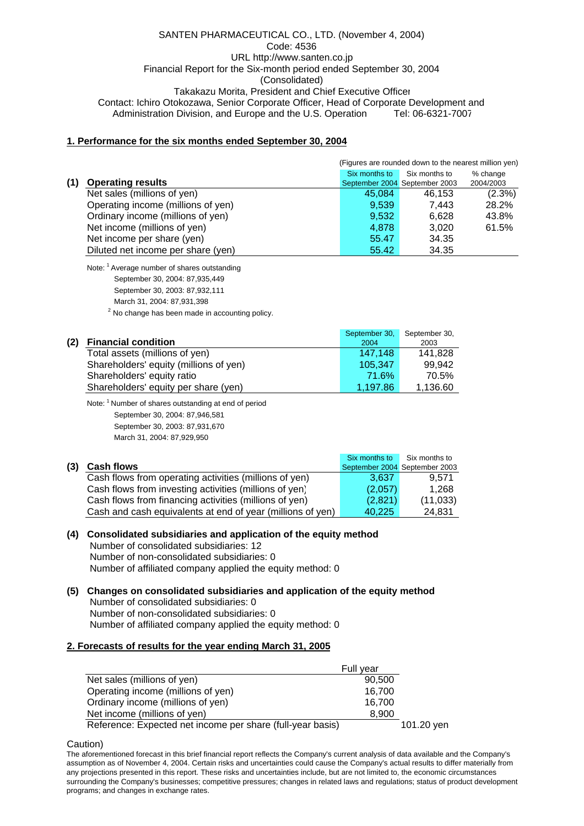### SANTEN PHARMACEUTICAL CO., LTD. (November 4, 2004) Code: 4536 URL http://www.santen.co.jp Financial Report for the Six-month period ended September 30, 2004 (Consolidated) Takakazu Morita, President and Chief Executive Officer Contact: Ichiro Otokozawa, Senior Corporate Officer, Head of Corporate Development and Administration Division, and Europe and the U.S. Operation Tel: 06-6321-7007

## **1. Performance for the six months ended September 30, 2004**

|     |                                    | (Figures are rounded down to the nearest million yen) |                               |           |
|-----|------------------------------------|-------------------------------------------------------|-------------------------------|-----------|
|     |                                    | Six months to                                         | Six months to                 | % change  |
| (1) | <b>Operating results</b>           |                                                       | September 2004 September 2003 | 2004/2003 |
|     | Net sales (millions of yen)        | 45,084                                                | 46,153                        | $(2.3\%)$ |
|     | Operating income (millions of yen) | 9,539                                                 | 7.443                         | 28.2%     |
|     | Ordinary income (millions of yen)  | 9,532                                                 | 6.628                         | 43.8%     |
|     | Net income (millions of yen)       | 4.878                                                 | 3.020                         | 61.5%     |
|     | Net income per share (yen)         | 55.47                                                 | 34.35                         |           |
|     | Diluted net income per share (yen) | 55.42                                                 | 34.35                         |           |

Note: <sup>1</sup> Average number of shares outstanding

- September 30, 2004: 87,935,449
- September 30, 2003: 87,932,111
- March 31, 2004: 87,931,398
- <sup>2</sup> No change has been made in accounting policy.

|     |                                        | September 30, | September 30, |
|-----|----------------------------------------|---------------|---------------|
| (2) | <b>Financial condition</b>             | 2004          | 2003          |
|     | Total assets (millions of yen)         | 147.148       | 141.828       |
|     | Shareholders' equity (millions of yen) | 105.347       | 99.942        |
|     | Shareholders' equity ratio             | 71.6%         | 70.5%         |
|     | Shareholders' equity per share (yen)   | 1.197.86      | 1,136.60      |

Note: 1 Number of shares outstanding at end of period September 30, 2004: 87,946,581 September 30, 2003: 87,931,670

March 31, 2004: 87,929,950

|     |                                                            | Six months to                 | Six months to |
|-----|------------------------------------------------------------|-------------------------------|---------------|
| (3) | <b>Cash flows</b>                                          | September 2004 September 2003 |               |
|     | Cash flows from operating activities (millions of yen)     | 3.637                         | 9.571         |
|     | Cash flows from investing activities (millions of yen)     | (2,057)                       | 1.268         |
|     | Cash flows from financing activities (millions of yen)     | (2,821)                       | (11, 033)     |
|     | Cash and cash equivalents at end of year (millions of yen) | 40.225                        | 24.831        |

**<sup>(4)</sup> Consolidated subsidiaries and application of the equity method** Number of consolidated subsidiaries: 12 Number of non-consolidated subsidiaries: 0 Number of affiliated company applied the equity method: 0

**(5) Changes on consolidated subsidiaries and application of the equity method** Number of consolidated subsidiaries: 0 Number of non-consolidated subsidiaries: 0 Number of affiliated company applied the equity method: 0

## **2. Forecasts of results for the year ending March 31, 2005**

|                                                            | Full year |            |
|------------------------------------------------------------|-----------|------------|
| Net sales (millions of yen)                                | 90.500    |            |
| Operating income (millions of yen)                         | 16.700    |            |
| Ordinary income (millions of yen)                          | 16.700    |            |
| Net income (millions of yen)                               | 8,900     |            |
| Reference: Expected net income per share (full-year basis) |           | 101.20 yen |

Caution)

The aforementioned forecast in this brief financial report reflects the Company's current analysis of data available and the Company's assumption as of November 4, 2004. Certain risks and uncertainties could cause the Company's actual results to differ materially from any projections presented in this report. These risks and uncertainties include, but are not limited to, the economic circumstances surrounding the Company's businesses; competitive pressures; changes in related laws and regulations; status of product development programs; and changes in exchange rates.